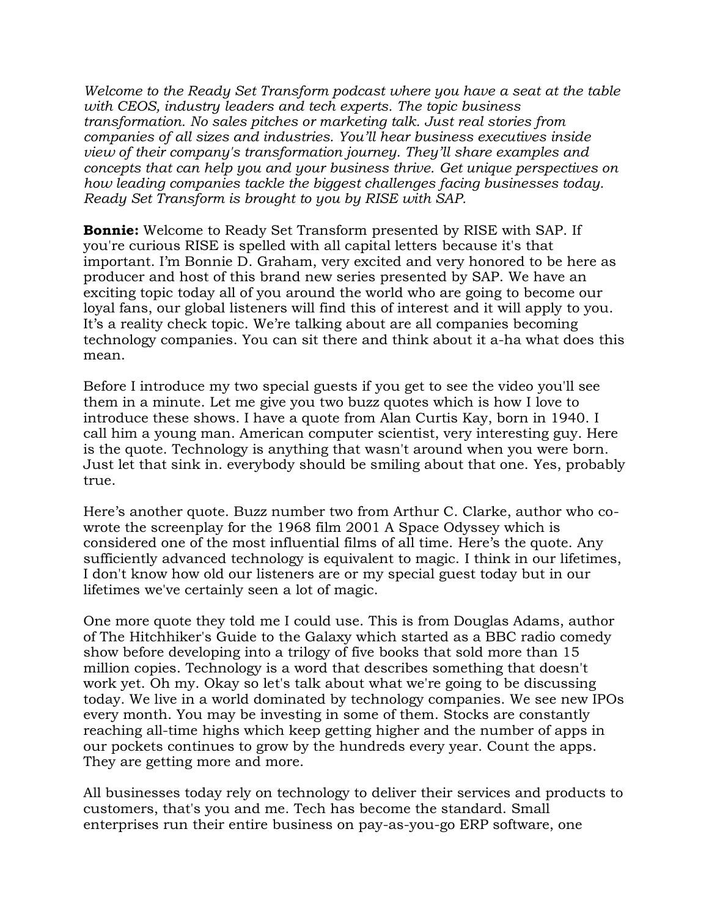*Welcome to the Ready Set Transform podcast where you have a seat at the table with CEOS, industry leaders and tech experts. The topic business transformation. No sales pitches or marketing talk. Just real stories from companies of all sizes and industries. You'll hear business executives inside view of their company's transformation journey. They'll share examples and concepts that can help you and your business thrive. Get unique perspectives on how leading companies tackle the biggest challenges facing businesses today. Ready Set Transform is brought to you by RISE with SAP.*

**Bonnie:** Welcome to Ready Set Transform presented by RISE with SAP. If you're curious RISE is spelled with all capital letters because it's that important. I'm Bonnie D. Graham, very excited and very honored to be here as producer and host of this brand new series presented by SAP. We have an exciting topic today all of you around the world who are going to become our loyal fans, our global listeners will find this of interest and it will apply to you. It's a reality check topic. We're talking about are all companies becoming technology companies. You can sit there and think about it a-ha what does this mean.

Before I introduce my two special guests if you get to see the video you'll see them in a minute. Let me give you two buzz quotes which is how I love to introduce these shows. I have a quote from Alan Curtis Kay, born in 1940. I call him a young man. American computer scientist, very interesting guy. Here is the quote. Technology is anything that wasn't around when you were born. Just let that sink in. everybody should be smiling about that one. Yes, probably true.

Here's another quote. Buzz number two from Arthur C. Clarke, author who cowrote the screenplay for the 1968 film 2001 A Space Odyssey which is considered one of the most influential films of all time. Here's the quote. Any sufficiently advanced technology is equivalent to magic. I think in our lifetimes, I don't know how old our listeners are or my special guest today but in our lifetimes we've certainly seen a lot of magic.

One more quote they told me I could use. This is from Douglas Adams, author of The Hitchhiker's Guide to the Galaxy which started as a BBC radio comedy show before developing into a trilogy of five books that sold more than 15 million copies. Technology is a word that describes something that doesn't work yet. Oh my. Okay so let's talk about what we're going to be discussing today. We live in a world dominated by technology companies. We see new IPOs every month. You may be investing in some of them. Stocks are constantly reaching all-time highs which keep getting higher and the number of apps in our pockets continues to grow by the hundreds every year. Count the apps. They are getting more and more.

All businesses today rely on technology to deliver their services and products to customers, that's you and me. Tech has become the standard. Small enterprises run their entire business on pay-as-you-go ERP software, one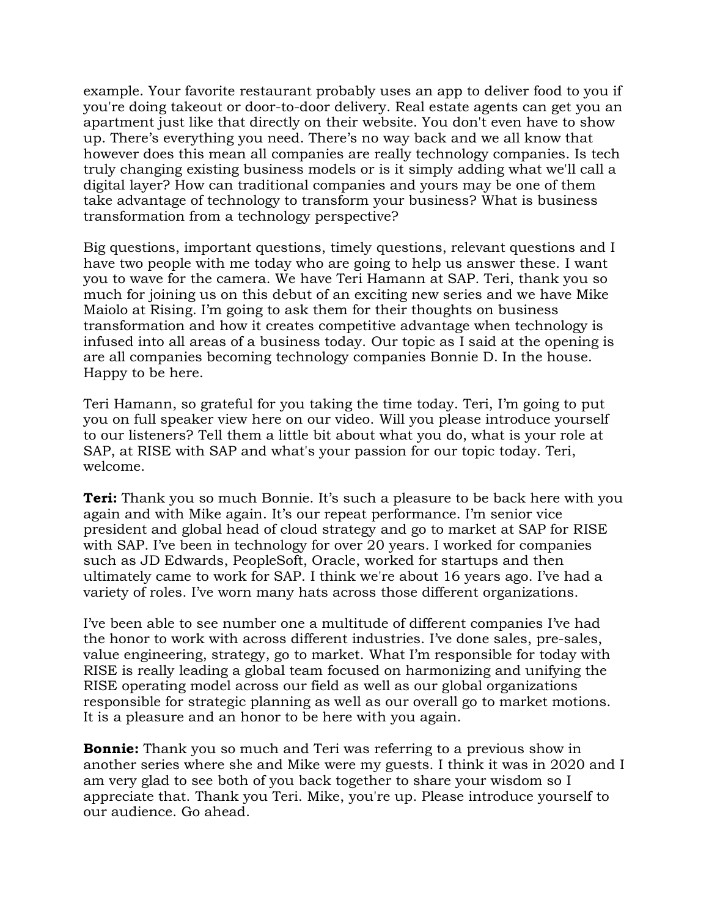example. Your favorite restaurant probably uses an app to deliver food to you if you're doing takeout or door-to-door delivery. Real estate agents can get you an apartment just like that directly on their website. You don't even have to show up. There's everything you need. There's no way back and we all know that however does this mean all companies are really technology companies. Is tech truly changing existing business models or is it simply adding what we'll call a digital layer? How can traditional companies and yours may be one of them take advantage of technology to transform your business? What is business transformation from a technology perspective?

Big questions, important questions, timely questions, relevant questions and I have two people with me today who are going to help us answer these. I want you to wave for the camera. We have Teri Hamann at SAP. Teri, thank you so much for joining us on this debut of an exciting new series and we have Mike Maiolo at Rising. I'm going to ask them for their thoughts on business transformation and how it creates competitive advantage when technology is infused into all areas of a business today. Our topic as I said at the opening is are all companies becoming technology companies Bonnie D. In the house. Happy to be here.

Teri Hamann, so grateful for you taking the time today. Teri, I'm going to put you on full speaker view here on our video. Will you please introduce yourself to our listeners? Tell them a little bit about what you do, what is your role at SAP, at RISE with SAP and what's your passion for our topic today. Teri, welcome.

**Teri:** Thank you so much Bonnie. It's such a pleasure to be back here with you again and with Mike again. It's our repeat performance. I'm senior vice president and global head of cloud strategy and go to market at SAP for RISE with SAP. I've been in technology for over 20 years. I worked for companies such as JD Edwards, PeopleSoft, Oracle, worked for startups and then ultimately came to work for SAP. I think we're about 16 years ago. I've had a variety of roles. I've worn many hats across those different organizations.

I've been able to see number one a multitude of different companies I've had the honor to work with across different industries. I've done sales, pre-sales, value engineering, strategy, go to market. What I'm responsible for today with RISE is really leading a global team focused on harmonizing and unifying the RISE operating model across our field as well as our global organizations responsible for strategic planning as well as our overall go to market motions. It is a pleasure and an honor to be here with you again.

**Bonnie:** Thank you so much and Teri was referring to a previous show in another series where she and Mike were my guests. I think it was in 2020 and I am very glad to see both of you back together to share your wisdom so I appreciate that. Thank you Teri. Mike, you're up. Please introduce yourself to our audience. Go ahead.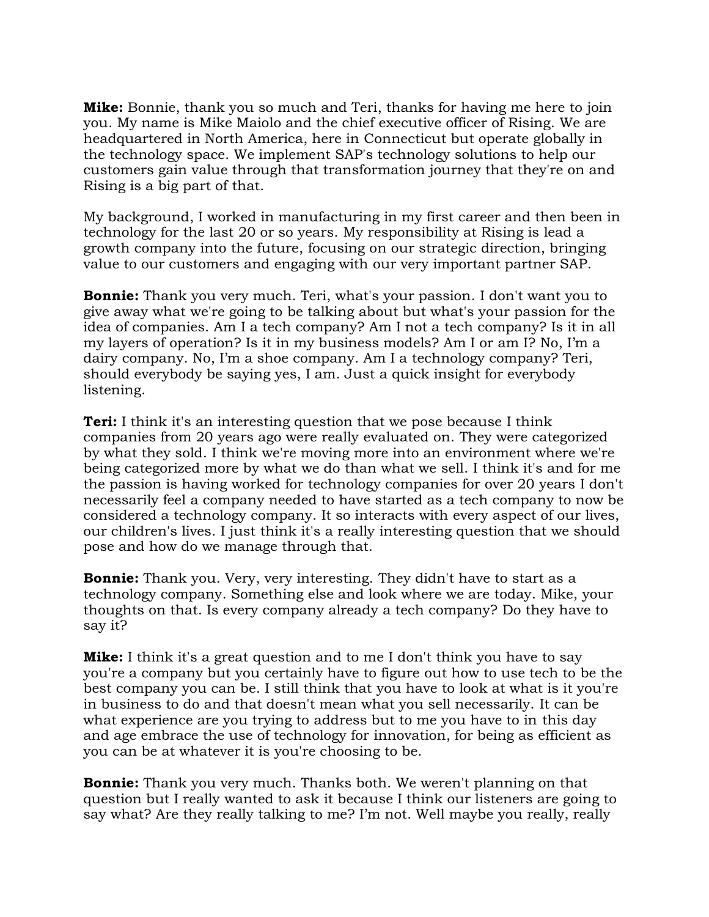**Mike:** Bonnie, thank you so much and Teri, thanks for having me here to join you. My name is Mike Maiolo and the chief executive officer of Rising. We are headquartered in North America, here in Connecticut but operate globally in the technology space. We implement SAP's technology solutions to help our customers gain value through that transformation journey that they're on and Rising is a big part of that.

My background, I worked in manufacturing in my first career and then been in technology for the last 20 or so years. My responsibility at Rising is lead a growth company into the future, focusing on our strategic direction, bringing value to our customers and engaging with our very important partner SAP.

**Bonnie:** Thank you very much. Teri, what's your passion. I don't want you to give away what we're going to be talking about but what's your passion for the idea of companies. Am I a tech company? Am I not a tech company? Is it in all my layers of operation? Is it in my business models? Am I or am I? No, I'm a dairy company. No, I'm a shoe company. Am I a technology company? Teri, should everybody be saying yes, I am. Just a quick insight for everybody listening.

**Teri:** I think it's an interesting question that we pose because I think companies from 20 years ago were really evaluated on. They were categorized by what they sold. I think we're moving more into an environment where we're being categorized more by what we do than what we sell. I think it's and for me the passion is having worked for technology companies for over 20 years I don't necessarily feel a company needed to have started as a tech company to now be considered a technology company. It so interacts with every aspect of our lives, our children's lives. I just think it's a really interesting question that we should pose and how do we manage through that.

**Bonnie:** Thank you. Very, very interesting. They didn't have to start as a technology company. Something else and look where we are today. Mike, your thoughts on that. Is every company already a tech company? Do they have to say it?

**Mike:** I think it's a great question and to me I don't think you have to say you're a company but you certainly have to figure out how to use tech to be the best company you can be. I still think that you have to look at what is it you're in business to do and that doesn't mean what you sell necessarily. It can be what experience are you trying to address but to me you have to in this day and age embrace the use of technology for innovation, for being as efficient as you can be at whatever it is you're choosing to be.

**Bonnie:** Thank you very much. Thanks both. We weren't planning on that question but I really wanted to ask it because I think our listeners are going to say what? Are they really talking to me? I'm not. Well maybe you really, really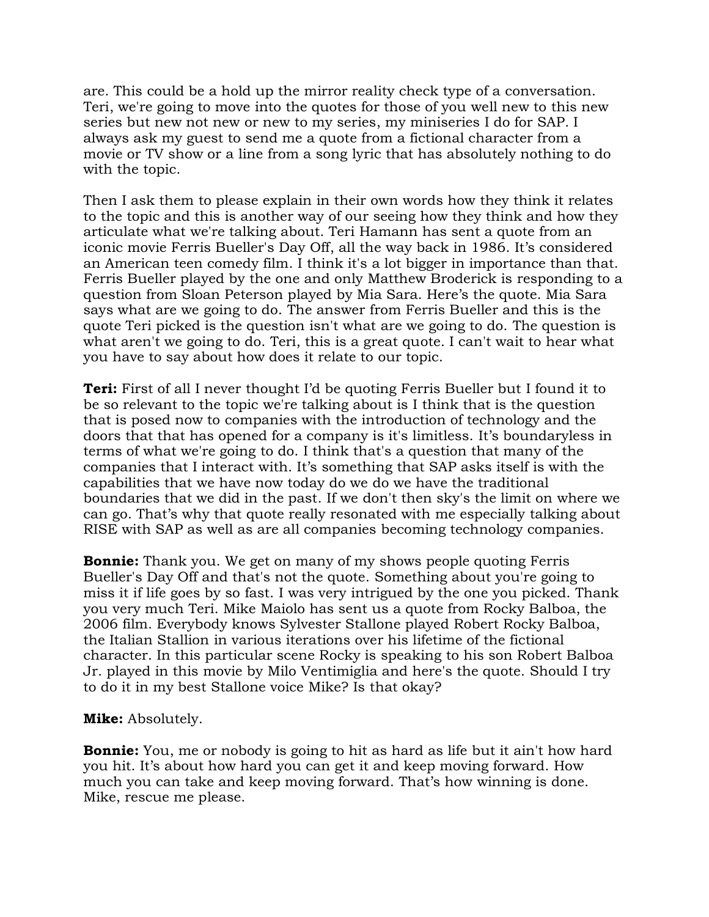are. This could be a hold up the mirror reality check type of a conversation. Teri, we're going to move into the quotes for those of you well new to this new series but new not new or new to my series, my miniseries I do for SAP. I always ask my guest to send me a quote from a fictional character from a movie or TV show or a line from a song lyric that has absolutely nothing to do with the topic.

Then I ask them to please explain in their own words how they think it relates to the topic and this is another way of our seeing how they think and how they articulate what we're talking about. Teri Hamann has sent a quote from an iconic movie Ferris Bueller's Day Off, all the way back in 1986. It's considered an American teen comedy film. I think it's a lot bigger in importance than that. Ferris Bueller played by the one and only Matthew Broderick is responding to a question from Sloan Peterson played by Mia Sara. Here's the quote. Mia Sara says what are we going to do. The answer from Ferris Bueller and this is the quote Teri picked is the question isn't what are we going to do. The question is what aren't we going to do. Teri, this is a great quote. I can't wait to hear what you have to say about how does it relate to our topic.

**Teri:** First of all I never thought I'd be quoting Ferris Bueller but I found it to be so relevant to the topic we're talking about is I think that is the question that is posed now to companies with the introduction of technology and the doors that that has opened for a company is it's limitless. It's boundaryless in terms of what we're going to do. I think that's a question that many of the companies that I interact with. It's something that SAP asks itself is with the capabilities that we have now today do we do we have the traditional boundaries that we did in the past. If we don't then sky's the limit on where we can go. That's why that quote really resonated with me especially talking about RISE with SAP as well as are all companies becoming technology companies.

**Bonnie:** Thank you. We get on many of my shows people quoting Ferris Bueller's Day Off and that's not the quote. Something about you're going to miss it if life goes by so fast. I was very intrigued by the one you picked. Thank you very much Teri. Mike Maiolo has sent us a quote from Rocky Balboa, the 2006 film. Everybody knows Sylvester Stallone played Robert Rocky Balboa, the Italian Stallion in various iterations over his lifetime of the fictional character. In this particular scene Rocky is speaking to his son Robert Balboa Jr. played in this movie by Milo Ventimiglia and here's the quote. Should I try to do it in my best Stallone voice Mike? Is that okay?

## **Mike:** Absolutely.

**Bonnie:** You, me or nobody is going to hit as hard as life but it ain't how hard you hit. It's about how hard you can get it and keep moving forward. How much you can take and keep moving forward. That's how winning is done. Mike, rescue me please.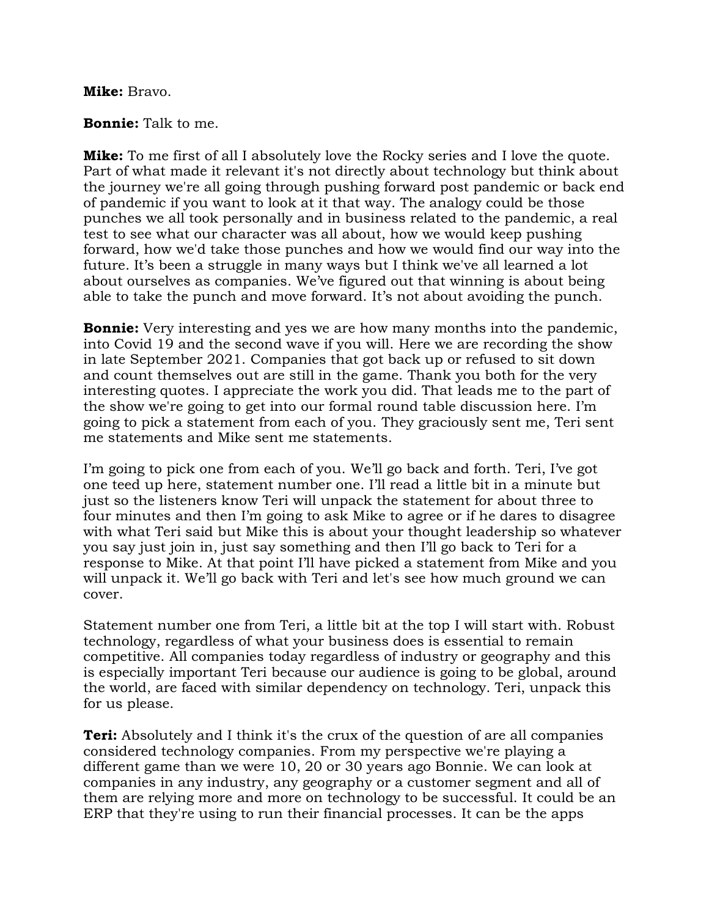## **Mike:** Bravo.

## **Bonnie:** Talk to me.

**Mike:** To me first of all I absolutely love the Rocky series and I love the quote. Part of what made it relevant it's not directly about technology but think about the journey we're all going through pushing forward post pandemic or back end of pandemic if you want to look at it that way. The analogy could be those punches we all took personally and in business related to the pandemic, a real test to see what our character was all about, how we would keep pushing forward, how we'd take those punches and how we would find our way into the future. It's been a struggle in many ways but I think we've all learned a lot about ourselves as companies. We've figured out that winning is about being able to take the punch and move forward. It's not about avoiding the punch.

**Bonnie:** Very interesting and yes we are how many months into the pandemic, into Covid 19 and the second wave if you will. Here we are recording the show in late September 2021. Companies that got back up or refused to sit down and count themselves out are still in the game. Thank you both for the very interesting quotes. I appreciate the work you did. That leads me to the part of the show we're going to get into our formal round table discussion here. I'm going to pick a statement from each of you. They graciously sent me, Teri sent me statements and Mike sent me statements.

I'm going to pick one from each of you. We'll go back and forth. Teri, I've got one teed up here, statement number one. I'll read a little bit in a minute but just so the listeners know Teri will unpack the statement for about three to four minutes and then I'm going to ask Mike to agree or if he dares to disagree with what Teri said but Mike this is about your thought leadership so whatever you say just join in, just say something and then I'll go back to Teri for a response to Mike. At that point I'll have picked a statement from Mike and you will unpack it. We'll go back with Teri and let's see how much ground we can cover.

Statement number one from Teri, a little bit at the top I will start with. Robust technology, regardless of what your business does is essential to remain competitive. All companies today regardless of industry or geography and this is especially important Teri because our audience is going to be global, around the world, are faced with similar dependency on technology. Teri, unpack this for us please.

**Teri:** Absolutely and I think it's the crux of the question of are all companies considered technology companies. From my perspective we're playing a different game than we were 10, 20 or 30 years ago Bonnie. We can look at companies in any industry, any geography or a customer segment and all of them are relying more and more on technology to be successful. It could be an ERP that they're using to run their financial processes. It can be the apps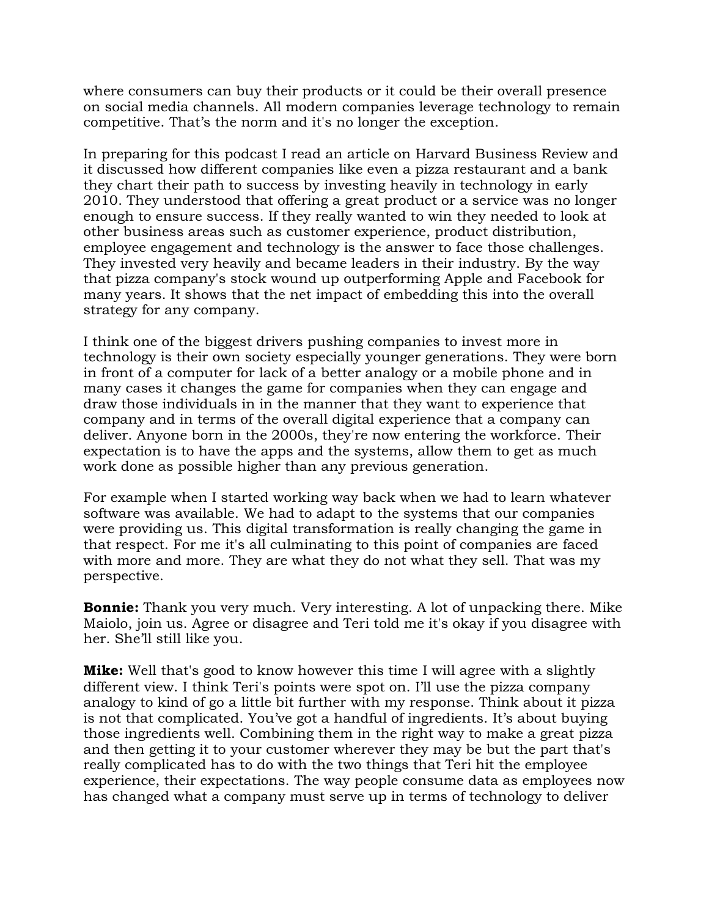where consumers can buy their products or it could be their overall presence on social media channels. All modern companies leverage technology to remain competitive. That's the norm and it's no longer the exception.

In preparing for this podcast I read an article on Harvard Business Review and it discussed how different companies like even a pizza restaurant and a bank they chart their path to success by investing heavily in technology in early 2010. They understood that offering a great product or a service was no longer enough to ensure success. If they really wanted to win they needed to look at other business areas such as customer experience, product distribution, employee engagement and technology is the answer to face those challenges. They invested very heavily and became leaders in their industry. By the way that pizza company's stock wound up outperforming Apple and Facebook for many years. It shows that the net impact of embedding this into the overall strategy for any company.

I think one of the biggest drivers pushing companies to invest more in technology is their own society especially younger generations. They were born in front of a computer for lack of a better analogy or a mobile phone and in many cases it changes the game for companies when they can engage and draw those individuals in in the manner that they want to experience that company and in terms of the overall digital experience that a company can deliver. Anyone born in the 2000s, they're now entering the workforce. Their expectation is to have the apps and the systems, allow them to get as much work done as possible higher than any previous generation.

For example when I started working way back when we had to learn whatever software was available. We had to adapt to the systems that our companies were providing us. This digital transformation is really changing the game in that respect. For me it's all culminating to this point of companies are faced with more and more. They are what they do not what they sell. That was my perspective.

**Bonnie:** Thank you very much. Very interesting. A lot of unpacking there. Mike Maiolo, join us. Agree or disagree and Teri told me it's okay if you disagree with her. She'll still like you.

**Mike:** Well that's good to know however this time I will agree with a slightly different view. I think Teri's points were spot on. I'll use the pizza company analogy to kind of go a little bit further with my response. Think about it pizza is not that complicated. You've got a handful of ingredients. It's about buying those ingredients well. Combining them in the right way to make a great pizza and then getting it to your customer wherever they may be but the part that's really complicated has to do with the two things that Teri hit the employee experience, their expectations. The way people consume data as employees now has changed what a company must serve up in terms of technology to deliver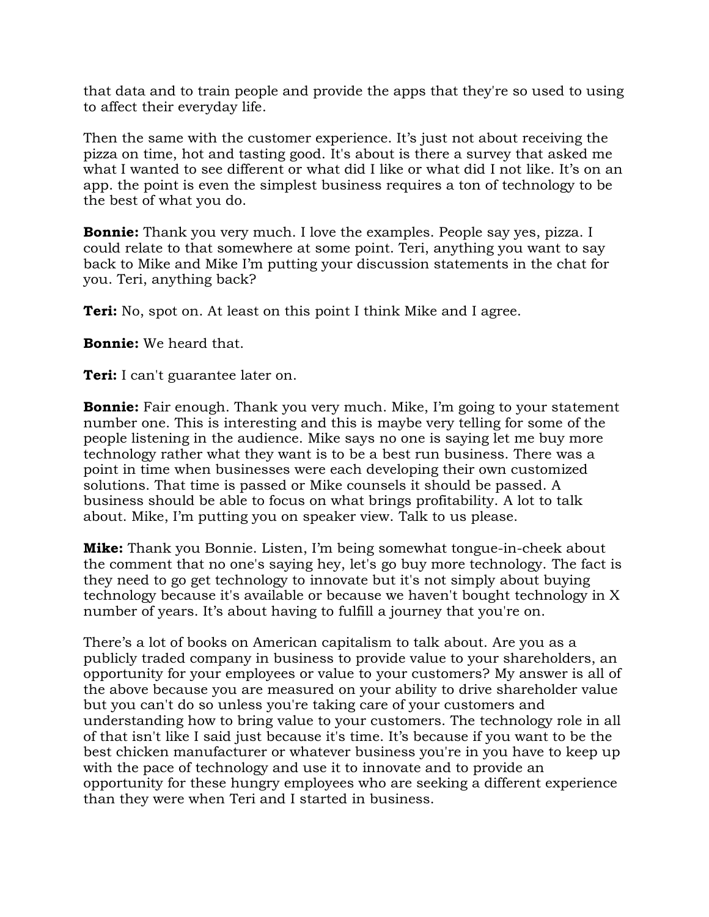that data and to train people and provide the apps that they're so used to using to affect their everyday life.

Then the same with the customer experience. It's just not about receiving the pizza on time, hot and tasting good. It's about is there a survey that asked me what I wanted to see different or what did I like or what did I not like. It's on an app. the point is even the simplest business requires a ton of technology to be the best of what you do.

**Bonnie:** Thank you very much. I love the examples. People say yes, pizza. I could relate to that somewhere at some point. Teri, anything you want to say back to Mike and Mike I'm putting your discussion statements in the chat for you. Teri, anything back?

**Teri:** No, spot on. At least on this point I think Mike and I agree.

**Bonnie:** We heard that.

**Teri:** I can't guarantee later on.

**Bonnie:** Fair enough. Thank you very much. Mike, I'm going to your statement number one. This is interesting and this is maybe very telling for some of the people listening in the audience. Mike says no one is saying let me buy more technology rather what they want is to be a best run business. There was a point in time when businesses were each developing their own customized solutions. That time is passed or Mike counsels it should be passed. A business should be able to focus on what brings profitability. A lot to talk about. Mike, I'm putting you on speaker view. Talk to us please.

**Mike:** Thank you Bonnie. Listen, I'm being somewhat tongue-in-cheek about the comment that no one's saying hey, let's go buy more technology. The fact is they need to go get technology to innovate but it's not simply about buying technology because it's available or because we haven't bought technology in X number of years. It's about having to fulfill a journey that you're on.

There's a lot of books on American capitalism to talk about. Are you as a publicly traded company in business to provide value to your shareholders, an opportunity for your employees or value to your customers? My answer is all of the above because you are measured on your ability to drive shareholder value but you can't do so unless you're taking care of your customers and understanding how to bring value to your customers. The technology role in all of that isn't like I said just because it's time. It's because if you want to be the best chicken manufacturer or whatever business you're in you have to keep up with the pace of technology and use it to innovate and to provide an opportunity for these hungry employees who are seeking a different experience than they were when Teri and I started in business.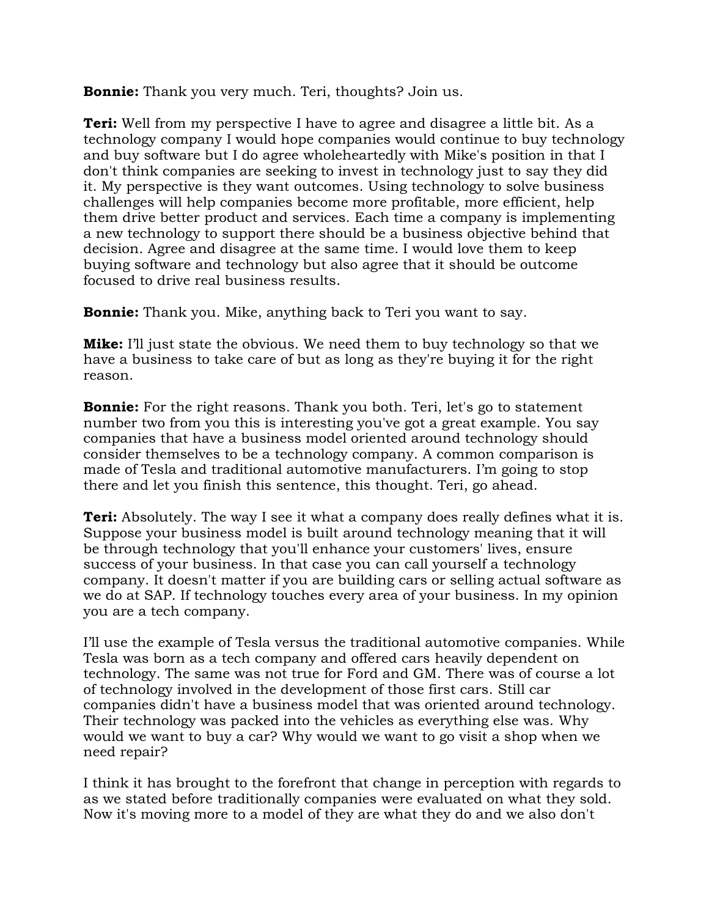**Bonnie:** Thank you very much. Teri, thoughts? Join us.

**Teri:** Well from my perspective I have to agree and disagree a little bit. As a technology company I would hope companies would continue to buy technology and buy software but I do agree wholeheartedly with Mike's position in that I don't think companies are seeking to invest in technology just to say they did it. My perspective is they want outcomes. Using technology to solve business challenges will help companies become more profitable, more efficient, help them drive better product and services. Each time a company is implementing a new technology to support there should be a business objective behind that decision. Agree and disagree at the same time. I would love them to keep buying software and technology but also agree that it should be outcome focused to drive real business results.

**Bonnie:** Thank you. Mike, anything back to Teri you want to say.

**Mike:** I'll just state the obvious. We need them to buy technology so that we have a business to take care of but as long as they're buying it for the right reason.

**Bonnie:** For the right reasons. Thank you both. Teri, let's go to statement number two from you this is interesting you've got a great example. You say companies that have a business model oriented around technology should consider themselves to be a technology company. A common comparison is made of Tesla and traditional automotive manufacturers. I'm going to stop there and let you finish this sentence, this thought. Teri, go ahead.

**Teri:** Absolutely. The way I see it what a company does really defines what it is. Suppose your business model is built around technology meaning that it will be through technology that you'll enhance your customers' lives, ensure success of your business. In that case you can call yourself a technology company. It doesn't matter if you are building cars or selling actual software as we do at SAP. If technology touches every area of your business. In my opinion you are a tech company.

I'll use the example of Tesla versus the traditional automotive companies. While Tesla was born as a tech company and offered cars heavily dependent on technology. The same was not true for Ford and GM. There was of course a lot of technology involved in the development of those first cars. Still car companies didn't have a business model that was oriented around technology. Their technology was packed into the vehicles as everything else was. Why would we want to buy a car? Why would we want to go visit a shop when we need repair?

I think it has brought to the forefront that change in perception with regards to as we stated before traditionally companies were evaluated on what they sold. Now it's moving more to a model of they are what they do and we also don't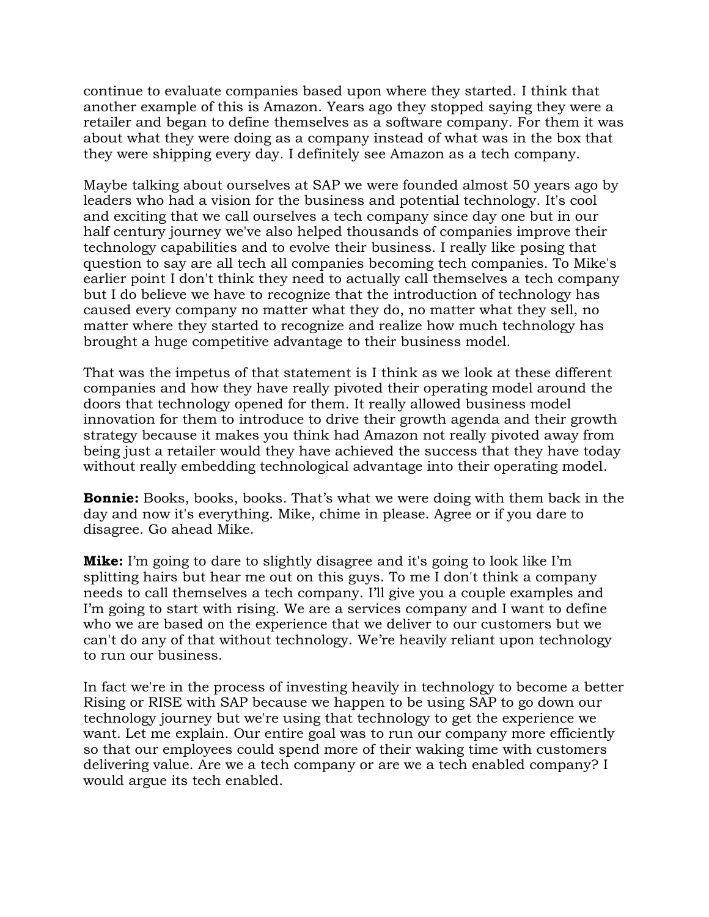continue to evaluate companies based upon where they started. I think that another example of this is Amazon. Years ago they stopped saying they were a retailer and began to define themselves as a software company. For them it was about what they were doing as a company instead of what was in the box that they were shipping every day. I definitely see Amazon as a tech company.

Maybe talking about ourselves at SAP we were founded almost 50 years ago by leaders who had a vision for the business and potential technology. It's cool and exciting that we call ourselves a tech company since day one but in our half century journey we've also helped thousands of companies improve their technology capabilities and to evolve their business. I really like posing that question to say are all tech all companies becoming tech companies. To Mike's earlier point I don't think they need to actually call themselves a tech company but I do believe we have to recognize that the introduction of technology has caused every company no matter what they do, no matter what they sell, no matter where they started to recognize and realize how much technology has brought a huge competitive advantage to their business model.

That was the impetus of that statement is I think as we look at these different companies and how they have really pivoted their operating model around the doors that technology opened for them. It really allowed business model innovation for them to introduce to drive their growth agenda and their growth strategy because it makes you think had Amazon not really pivoted away from being just a retailer would they have achieved the success that they have today without really embedding technological advantage into their operating model.

**Bonnie:** Books, books, books. That's what we were doing with them back in the day and now it's everything. Mike, chime in please. Agree or if you dare to disagree. Go ahead Mike.

**Mike:** I'm going to dare to slightly disagree and it's going to look like I'm splitting hairs but hear me out on this guys. To me I don't think a company needs to call themselves a tech company. I'll give you a couple examples and I'm going to start with rising. We are a services company and I want to define who we are based on the experience that we deliver to our customers but we can't do any of that without technology. We're heavily reliant upon technology to run our business.

In fact we're in the process of investing heavily in technology to become a better Rising or RISE with SAP because we happen to be using SAP to go down our technology journey but we're using that technology to get the experience we want. Let me explain. Our entire goal was to run our company more efficiently so that our employees could spend more of their waking time with customers delivering value. Are we a tech company or are we a tech enabled company? I would argue its tech enabled.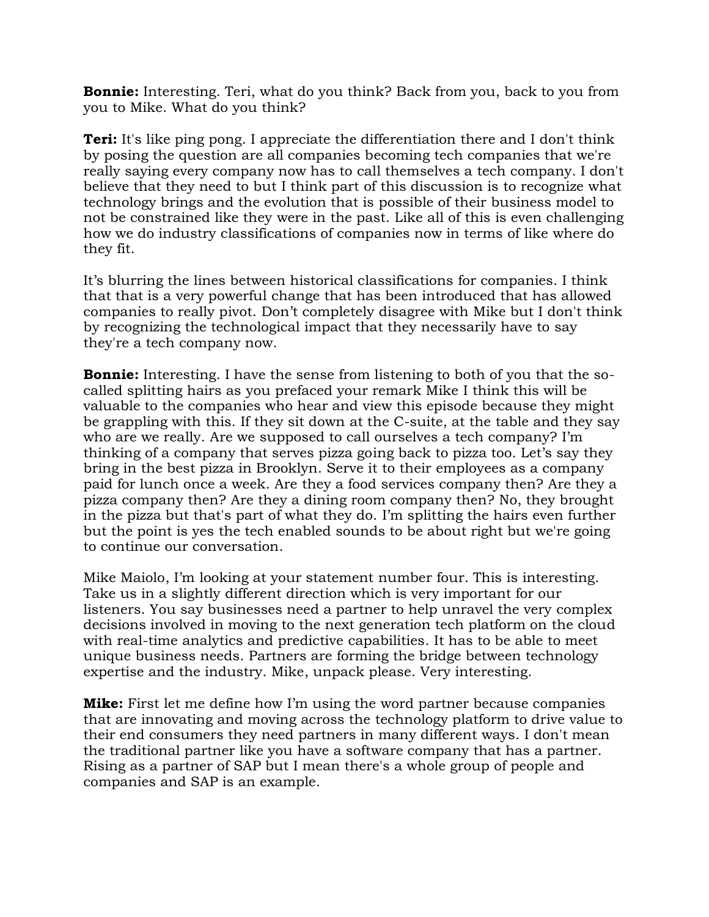**Bonnie:** Interesting. Teri, what do you think? Back from you, back to you from you to Mike. What do you think?

**Teri:** It's like ping pong. I appreciate the differentiation there and I don't think by posing the question are all companies becoming tech companies that we're really saying every company now has to call themselves a tech company. I don't believe that they need to but I think part of this discussion is to recognize what technology brings and the evolution that is possible of their business model to not be constrained like they were in the past. Like all of this is even challenging how we do industry classifications of companies now in terms of like where do they fit.

It's blurring the lines between historical classifications for companies. I think that that is a very powerful change that has been introduced that has allowed companies to really pivot. Don't completely disagree with Mike but I don't think by recognizing the technological impact that they necessarily have to say they're a tech company now.

**Bonnie:** Interesting. I have the sense from listening to both of you that the socalled splitting hairs as you prefaced your remark Mike I think this will be valuable to the companies who hear and view this episode because they might be grappling with this. If they sit down at the C-suite, at the table and they say who are we really. Are we supposed to call ourselves a tech company? I'm thinking of a company that serves pizza going back to pizza too. Let's say they bring in the best pizza in Brooklyn. Serve it to their employees as a company paid for lunch once a week. Are they a food services company then? Are they a pizza company then? Are they a dining room company then? No, they brought in the pizza but that's part of what they do. I'm splitting the hairs even further but the point is yes the tech enabled sounds to be about right but we're going to continue our conversation.

Mike Maiolo, I'm looking at your statement number four. This is interesting. Take us in a slightly different direction which is very important for our listeners. You say businesses need a partner to help unravel the very complex decisions involved in moving to the next generation tech platform on the cloud with real-time analytics and predictive capabilities. It has to be able to meet unique business needs. Partners are forming the bridge between technology expertise and the industry. Mike, unpack please. Very interesting.

**Mike:** First let me define how I'm using the word partner because companies that are innovating and moving across the technology platform to drive value to their end consumers they need partners in many different ways. I don't mean the traditional partner like you have a software company that has a partner. Rising as a partner of SAP but I mean there's a whole group of people and companies and SAP is an example.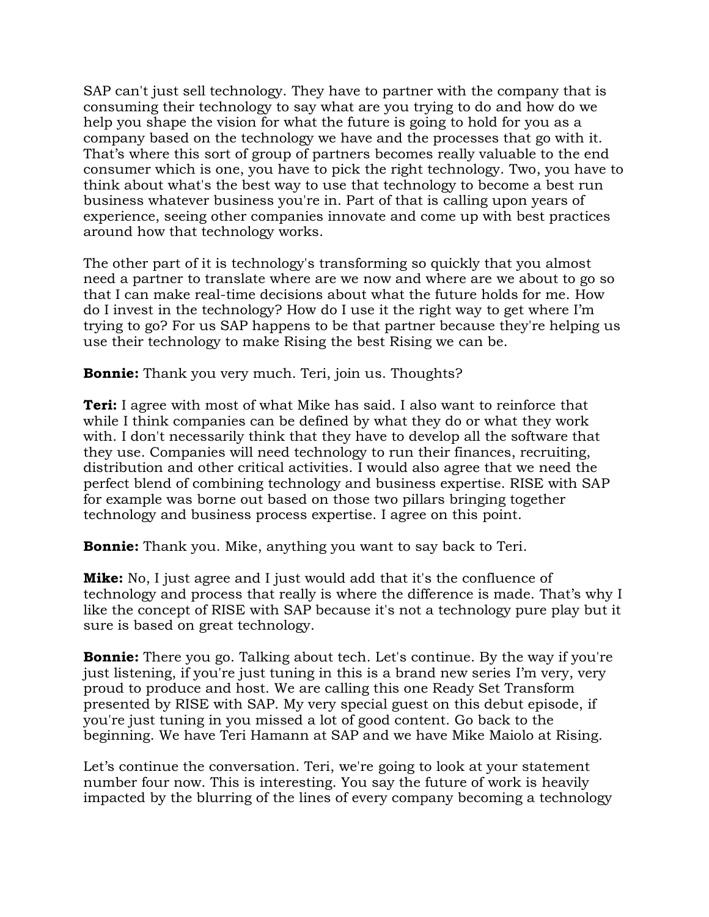SAP can't just sell technology. They have to partner with the company that is consuming their technology to say what are you trying to do and how do we help you shape the vision for what the future is going to hold for you as a company based on the technology we have and the processes that go with it. That's where this sort of group of partners becomes really valuable to the end consumer which is one, you have to pick the right technology. Two, you have to think about what's the best way to use that technology to become a best run business whatever business you're in. Part of that is calling upon years of experience, seeing other companies innovate and come up with best practices around how that technology works.

The other part of it is technology's transforming so quickly that you almost need a partner to translate where are we now and where are we about to go so that I can make real-time decisions about what the future holds for me. How do I invest in the technology? How do I use it the right way to get where I'm trying to go? For us SAP happens to be that partner because they're helping us use their technology to make Rising the best Rising we can be.

**Bonnie:** Thank you very much. Teri, join us. Thoughts?

**Teri:** I agree with most of what Mike has said. I also want to reinforce that while I think companies can be defined by what they do or what they work with. I don't necessarily think that they have to develop all the software that they use. Companies will need technology to run their finances, recruiting, distribution and other critical activities. I would also agree that we need the perfect blend of combining technology and business expertise. RISE with SAP for example was borne out based on those two pillars bringing together technology and business process expertise. I agree on this point.

**Bonnie:** Thank you. Mike, anything you want to say back to Teri.

**Mike:** No, I just agree and I just would add that it's the confluence of technology and process that really is where the difference is made. That's why I like the concept of RISE with SAP because it's not a technology pure play but it sure is based on great technology.

**Bonnie:** There you go. Talking about tech. Let's continue. By the way if you're just listening, if you're just tuning in this is a brand new series I'm very, very proud to produce and host. We are calling this one Ready Set Transform presented by RISE with SAP. My very special guest on this debut episode, if you're just tuning in you missed a lot of good content. Go back to the beginning. We have Teri Hamann at SAP and we have Mike Maiolo at Rising.

Let's continue the conversation. Teri, we're going to look at your statement number four now. This is interesting. You say the future of work is heavily impacted by the blurring of the lines of every company becoming a technology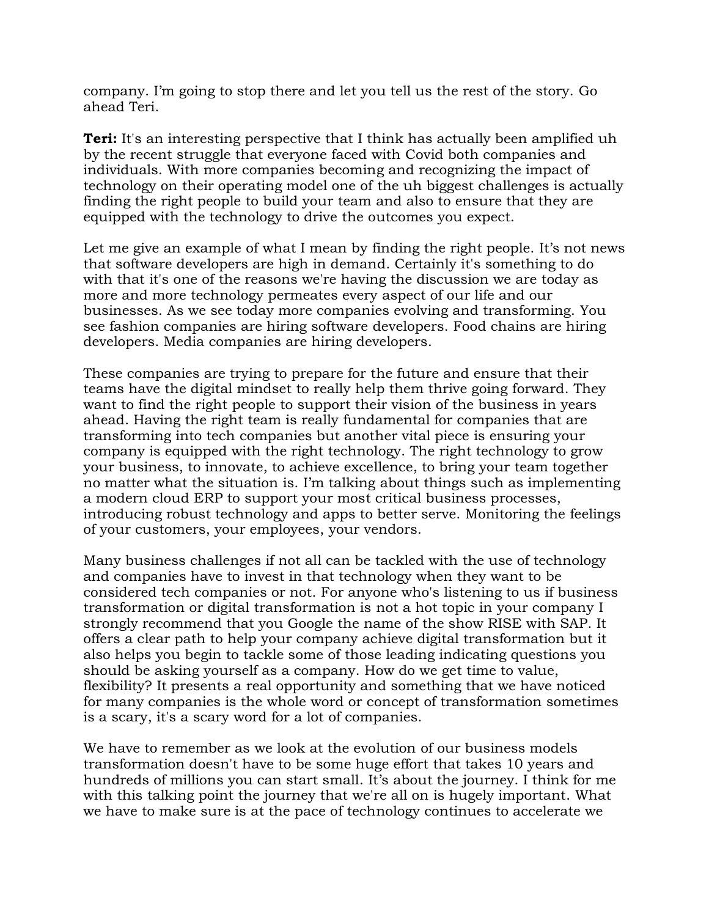company. I'm going to stop there and let you tell us the rest of the story. Go ahead Teri.

**Teri:** It's an interesting perspective that I think has actually been amplified uh by the recent struggle that everyone faced with Covid both companies and individuals. With more companies becoming and recognizing the impact of technology on their operating model one of the uh biggest challenges is actually finding the right people to build your team and also to ensure that they are equipped with the technology to drive the outcomes you expect.

Let me give an example of what I mean by finding the right people. It's not news that software developers are high in demand. Certainly it's something to do with that it's one of the reasons we're having the discussion we are today as more and more technology permeates every aspect of our life and our businesses. As we see today more companies evolving and transforming. You see fashion companies are hiring software developers. Food chains are hiring developers. Media companies are hiring developers.

These companies are trying to prepare for the future and ensure that their teams have the digital mindset to really help them thrive going forward. They want to find the right people to support their vision of the business in years ahead. Having the right team is really fundamental for companies that are transforming into tech companies but another vital piece is ensuring your company is equipped with the right technology. The right technology to grow your business, to innovate, to achieve excellence, to bring your team together no matter what the situation is. I'm talking about things such as implementing a modern cloud ERP to support your most critical business processes, introducing robust technology and apps to better serve. Monitoring the feelings of your customers, your employees, your vendors.

Many business challenges if not all can be tackled with the use of technology and companies have to invest in that technology when they want to be considered tech companies or not. For anyone who's listening to us if business transformation or digital transformation is not a hot topic in your company I strongly recommend that you Google the name of the show RISE with SAP. It offers a clear path to help your company achieve digital transformation but it also helps you begin to tackle some of those leading indicating questions you should be asking yourself as a company. How do we get time to value, flexibility? It presents a real opportunity and something that we have noticed for many companies is the whole word or concept of transformation sometimes is a scary, it's a scary word for a lot of companies.

We have to remember as we look at the evolution of our business models transformation doesn't have to be some huge effort that takes 10 years and hundreds of millions you can start small. It's about the journey. I think for me with this talking point the journey that we're all on is hugely important. What we have to make sure is at the pace of technology continues to accelerate we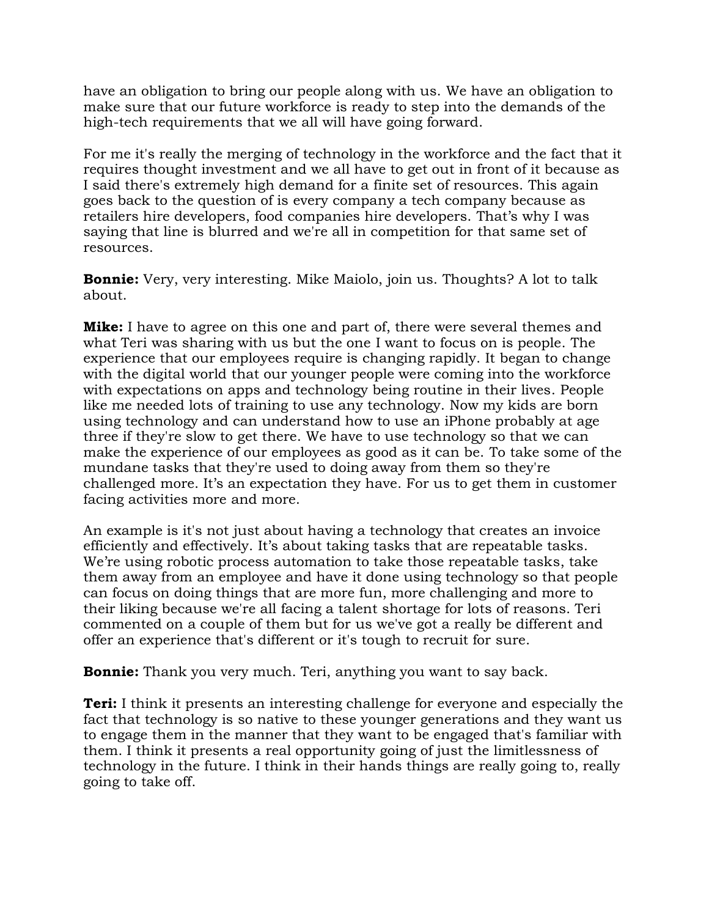have an obligation to bring our people along with us. We have an obligation to make sure that our future workforce is ready to step into the demands of the high-tech requirements that we all will have going forward.

For me it's really the merging of technology in the workforce and the fact that it requires thought investment and we all have to get out in front of it because as I said there's extremely high demand for a finite set of resources. This again goes back to the question of is every company a tech company because as retailers hire developers, food companies hire developers. That's why I was saying that line is blurred and we're all in competition for that same set of resources.

**Bonnie:** Very, very interesting. Mike Maiolo, join us. Thoughts? A lot to talk about.

**Mike:** I have to agree on this one and part of, there were several themes and what Teri was sharing with us but the one I want to focus on is people. The experience that our employees require is changing rapidly. It began to change with the digital world that our younger people were coming into the workforce with expectations on apps and technology being routine in their lives. People like me needed lots of training to use any technology. Now my kids are born using technology and can understand how to use an iPhone probably at age three if they're slow to get there. We have to use technology so that we can make the experience of our employees as good as it can be. To take some of the mundane tasks that they're used to doing away from them so they're challenged more. It's an expectation they have. For us to get them in customer facing activities more and more.

An example is it's not just about having a technology that creates an invoice efficiently and effectively. It's about taking tasks that are repeatable tasks. We're using robotic process automation to take those repeatable tasks, take them away from an employee and have it done using technology so that people can focus on doing things that are more fun, more challenging and more to their liking because we're all facing a talent shortage for lots of reasons. Teri commented on a couple of them but for us we've got a really be different and offer an experience that's different or it's tough to recruit for sure.

**Bonnie:** Thank you very much. Teri, anything you want to say back.

**Teri:** I think it presents an interesting challenge for everyone and especially the fact that technology is so native to these younger generations and they want us to engage them in the manner that they want to be engaged that's familiar with them. I think it presents a real opportunity going of just the limitlessness of technology in the future. I think in their hands things are really going to, really going to take off.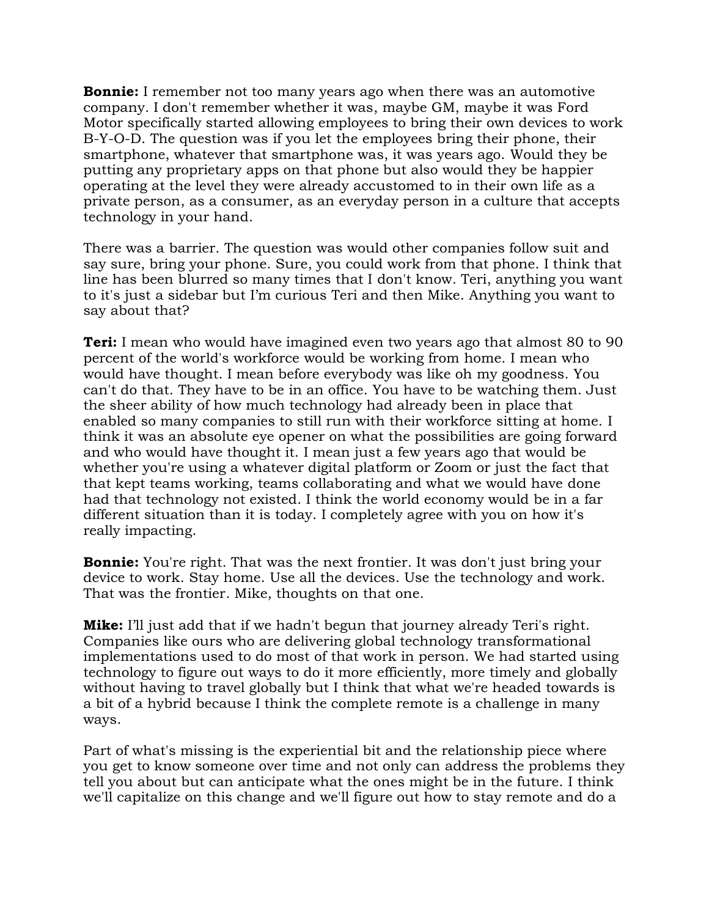**Bonnie:** I remember not too many years ago when there was an automotive company. I don't remember whether it was, maybe GM, maybe it was Ford Motor specifically started allowing employees to bring their own devices to work B-Y-O-D. The question was if you let the employees bring their phone, their smartphone, whatever that smartphone was, it was years ago. Would they be putting any proprietary apps on that phone but also would they be happier operating at the level they were already accustomed to in their own life as a private person, as a consumer, as an everyday person in a culture that accepts technology in your hand.

There was a barrier. The question was would other companies follow suit and say sure, bring your phone. Sure, you could work from that phone. I think that line has been blurred so many times that I don't know. Teri, anything you want to it's just a sidebar but I'm curious Teri and then Mike. Anything you want to say about that?

**Teri:** I mean who would have imagined even two years ago that almost 80 to 90 percent of the world's workforce would be working from home. I mean who would have thought. I mean before everybody was like oh my goodness. You can't do that. They have to be in an office. You have to be watching them. Just the sheer ability of how much technology had already been in place that enabled so many companies to still run with their workforce sitting at home. I think it was an absolute eye opener on what the possibilities are going forward and who would have thought it. I mean just a few years ago that would be whether you're using a whatever digital platform or Zoom or just the fact that that kept teams working, teams collaborating and what we would have done had that technology not existed. I think the world economy would be in a far different situation than it is today. I completely agree with you on how it's really impacting.

**Bonnie:** You're right. That was the next frontier. It was don't just bring your device to work. Stay home. Use all the devices. Use the technology and work. That was the frontier. Mike, thoughts on that one.

**Mike:** I'll just add that if we hadn't begun that journey already Teri's right. Companies like ours who are delivering global technology transformational implementations used to do most of that work in person. We had started using technology to figure out ways to do it more efficiently, more timely and globally without having to travel globally but I think that what we're headed towards is a bit of a hybrid because I think the complete remote is a challenge in many ways.

Part of what's missing is the experiential bit and the relationship piece where you get to know someone over time and not only can address the problems they tell you about but can anticipate what the ones might be in the future. I think we'll capitalize on this change and we'll figure out how to stay remote and do a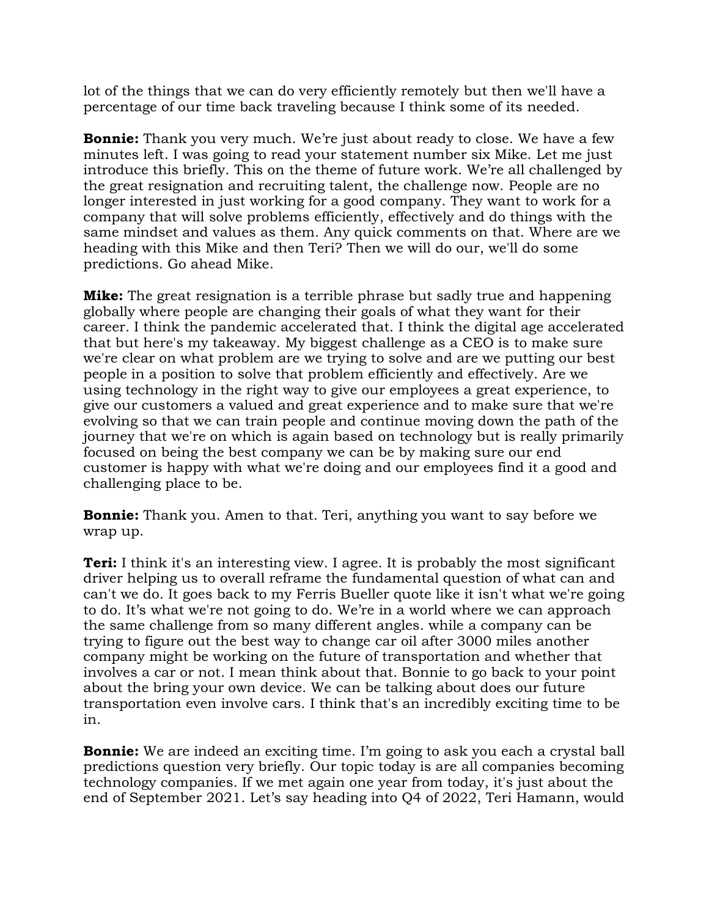lot of the things that we can do very efficiently remotely but then we'll have a percentage of our time back traveling because I think some of its needed.

**Bonnie:** Thank you very much. We're just about ready to close. We have a few minutes left. I was going to read your statement number six Mike. Let me just introduce this briefly. This on the theme of future work. We're all challenged by the great resignation and recruiting talent, the challenge now. People are no longer interested in just working for a good company. They want to work for a company that will solve problems efficiently, effectively and do things with the same mindset and values as them. Any quick comments on that. Where are we heading with this Mike and then Teri? Then we will do our, we'll do some predictions. Go ahead Mike.

**Mike:** The great resignation is a terrible phrase but sadly true and happening globally where people are changing their goals of what they want for their career. I think the pandemic accelerated that. I think the digital age accelerated that but here's my takeaway. My biggest challenge as a CEO is to make sure we're clear on what problem are we trying to solve and are we putting our best people in a position to solve that problem efficiently and effectively. Are we using technology in the right way to give our employees a great experience, to give our customers a valued and great experience and to make sure that we're evolving so that we can train people and continue moving down the path of the journey that we're on which is again based on technology but is really primarily focused on being the best company we can be by making sure our end customer is happy with what we're doing and our employees find it a good and challenging place to be.

**Bonnie:** Thank you. Amen to that. Teri, anything you want to say before we wrap up.

**Teri:** I think it's an interesting view. I agree. It is probably the most significant driver helping us to overall reframe the fundamental question of what can and can't we do. It goes back to my Ferris Bueller quote like it isn't what we're going to do. It's what we're not going to do. We're in a world where we can approach the same challenge from so many different angles. while a company can be trying to figure out the best way to change car oil after 3000 miles another company might be working on the future of transportation and whether that involves a car or not. I mean think about that. Bonnie to go back to your point about the bring your own device. We can be talking about does our future transportation even involve cars. I think that's an incredibly exciting time to be in.

**Bonnie:** We are indeed an exciting time. I'm going to ask you each a crystal ball predictions question very briefly. Our topic today is are all companies becoming technology companies. If we met again one year from today, it's just about the end of September 2021. Let's say heading into Q4 of 2022, Teri Hamann, would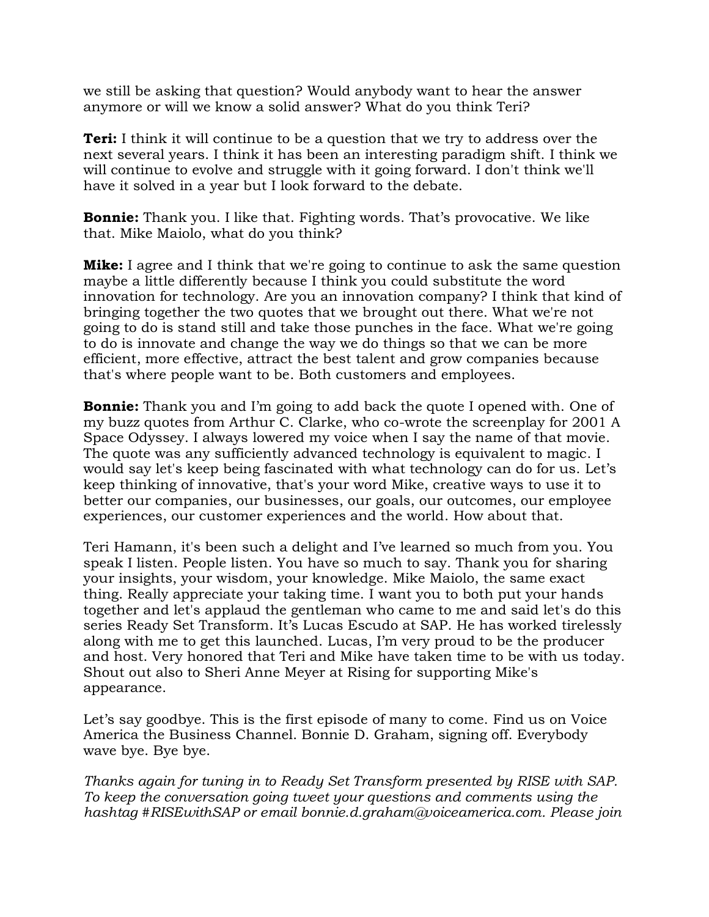we still be asking that question? Would anybody want to hear the answer anymore or will we know a solid answer? What do you think Teri?

**Teri:** I think it will continue to be a question that we try to address over the next several years. I think it has been an interesting paradigm shift. I think we will continue to evolve and struggle with it going forward. I don't think we'll have it solved in a year but I look forward to the debate.

**Bonnie:** Thank you. I like that. Fighting words. That's provocative. We like that. Mike Maiolo, what do you think?

**Mike:** I agree and I think that we're going to continue to ask the same question maybe a little differently because I think you could substitute the word innovation for technology. Are you an innovation company? I think that kind of bringing together the two quotes that we brought out there. What we're not going to do is stand still and take those punches in the face. What we're going to do is innovate and change the way we do things so that we can be more efficient, more effective, attract the best talent and grow companies because that's where people want to be. Both customers and employees.

**Bonnie:** Thank you and I'm going to add back the quote I opened with. One of my buzz quotes from Arthur C. Clarke, who co-wrote the screenplay for 2001 A Space Odyssey. I always lowered my voice when I say the name of that movie. The quote was any sufficiently advanced technology is equivalent to magic. I would say let's keep being fascinated with what technology can do for us. Let's keep thinking of innovative, that's your word Mike, creative ways to use it to better our companies, our businesses, our goals, our outcomes, our employee experiences, our customer experiences and the world. How about that.

Teri Hamann, it's been such a delight and I've learned so much from you. You speak I listen. People listen. You have so much to say. Thank you for sharing your insights, your wisdom, your knowledge. Mike Maiolo, the same exact thing. Really appreciate your taking time. I want you to both put your hands together and let's applaud the gentleman who came to me and said let's do this series Ready Set Transform. It's Lucas Escudo at SAP. He has worked tirelessly along with me to get this launched. Lucas, I'm very proud to be the producer and host. Very honored that Teri and Mike have taken time to be with us today. Shout out also to Sheri Anne Meyer at Rising for supporting Mike's appearance.

Let's say goodbye. This is the first episode of many to come. Find us on Voice America the Business Channel. Bonnie D. Graham, signing off. Everybody wave bye. Bye bye.

*Thanks again for tuning in to Ready Set Transform presented by RISE with SAP. To keep the conversation going tweet your questions and comments using the hashtag #RISEwithSAP or email bonnie.d.graham@voiceamerica.com. Please join*